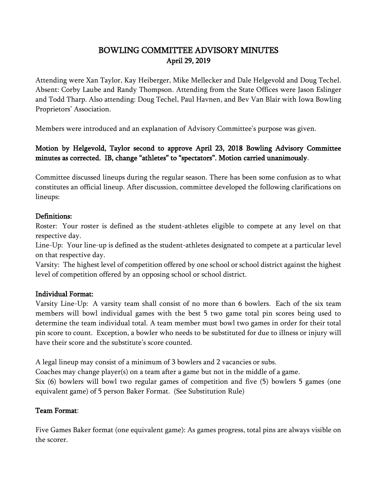# BOWLING COMMITTEE ADVISORY MINUTES April 29, 2019

Attending were Xan Taylor, Kay Heiberger, Mike Mellecker and Dale Helgevold and Doug Techel. Absent: Corby Laube and Randy Thompson. Attending from the State Offices were Jason Eslinger and Todd Tharp. Also attending: Doug Techel, Paul Havnen, and Bev Van Blair with Iowa Bowling Proprietors' Association.

Members were introduced and an explanation of Advisory Committee's purpose was given.

### Motion by Helgevold, Taylor second to approve April 23, 2018 Bowling Advisory Committee minutes as corrected. IB, change "athletes" to "spectators". Motion carried unanimously.

Committee discussed lineups during the regular season. There has been some confusion as to what constitutes an official lineup. After discussion, committee developed the following clarifications on lineups:

#### Definitions:

Roster: Your roster is defined as the student-athletes eligible to compete at any level on that respective day.

Line-Up: Your line-up is defined as the student-athletes designated to compete at a particular level on that respective day.

Varsity: The highest level of competition offered by one school or school district against the highest level of competition offered by an opposing school or school district.

#### Individual Format:

Varsity Line-Up: A varsity team shall consist of no more than 6 bowlers. Each of the six team members will bowl individual games with the best 5 two game total pin scores being used to determine the team individual total. A team member must bowl two games in order for their total pin score to count. Exception, a bowler who needs to be substituted for due to illness or injury will have their score and the substitute's score counted.

A legal lineup may consist of a minimum of 3 bowlers and 2 vacancies or subs.

Coaches may change player(s) on a team after a game but not in the middle of a game.

Six (6) bowlers will bowl two regular games of competition and five (5) bowlers 5 games (one equivalent game) of 5 person Baker Format. (See Substitution Rule)

#### Team Format:

Five Games Baker format (one equivalent game): As games progress, total pins are always visible on the scorer.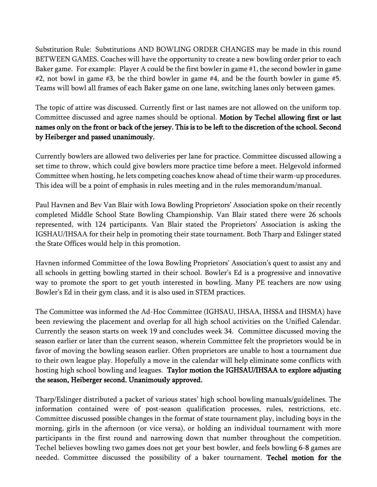Substitution Rule: Substitutions AND BOWLING ORDER CHANGES may be made in this round BETWEEN GAMES. Coaches will have the opportunity to create a new bowling order prior to each Baker game. For example: Player A could be the first bowler in game #1, the second bowler in game #2, not bowl in game #3, be the third bowler in game #4, and be the fourth bowler in game #5. Teams will bowl all frames of each Baker game on one lane, switching lanes only between games.

The topic of attire was discussed. Currently first or last names are not allowed on the uniform top. Committee discussed and agree names should be optional. Motion by Techel allowing first or last names only on the front or back of the jersey. This is to be left to the discretion of the school. Second by Heiberger and passed unanimously.

Currently bowlers are allowed two deliveries per lane for practice. Committee discussed allowing a set time to throw, which could give bowlers more practice time before a meet. Helgevold informed Committee when hosting, he lets competing coaches know ahead of time their warm-up procedures. This idea will be a point of emphasis in rules meeting and in the rules memorandum/manual.

Paul Havnen and Bev Van Blair with Iowa Bowling Proprietors' Association spoke on their recently completed Middle School State Bowling Championship. Van Blair stated there were 26 schools represented, with 124 participants. Van Blair stated the Proprietors' Association is asking the IGSHAU/IHSAA for their help in promoting their state tournament. Both Tharp and Eslinger stated the State Offices would help in this promotion.

Havnen informed Committee of the Iowa Bowling Proprietors' Association's quest to assist any and all schools in getting bowling started in their school. Bowler's Ed is a progressive and innovative way to promote the sport to get youth interested in bowling. Many PE teachers are now using Bowler's Ed in their gym class, and it is also used in STEM practices.

The Committee was informed the Ad-Hoc Committee (IGHSAU, IHSAA, IHSSA and IHSMA) have been reviewing the placement and overlap for all high school activities on the Unified Calendar. Currently the season starts on week 19 and concludes week 34. Committee discussed moving the season earlier or later than the current season, wherein Committee felt the proprietors would be in favor of moving the bowling season earlier. Often proprietors are unable to host a tournament due to their own league play. Hopefully a move in the calendar will help eliminate some conflicts with hosting high school bowling and leagues. Taylor motion the IGHSAU/IHSAA to explore adjusting the season, Heiberger second. Unanimously approved.

Tharp/Eslinger distributed a packet of various states' high school bowling manuals/guidelines. The information contained were of post-season qualification processes, rules, restrictions, etc. Committee discussed possible changes in the format of state tournament play, including boys in the morning, girls in the afternoon (or vice versa), or holding an individual tournament with more participants in the first round and narrowing down that number throughout the competition. Techel believes bowling two games does not get your best bowler, and feels bowling 6-8 games are needed. Committee discussed the possibility of a baker tournament. Techel motion for the